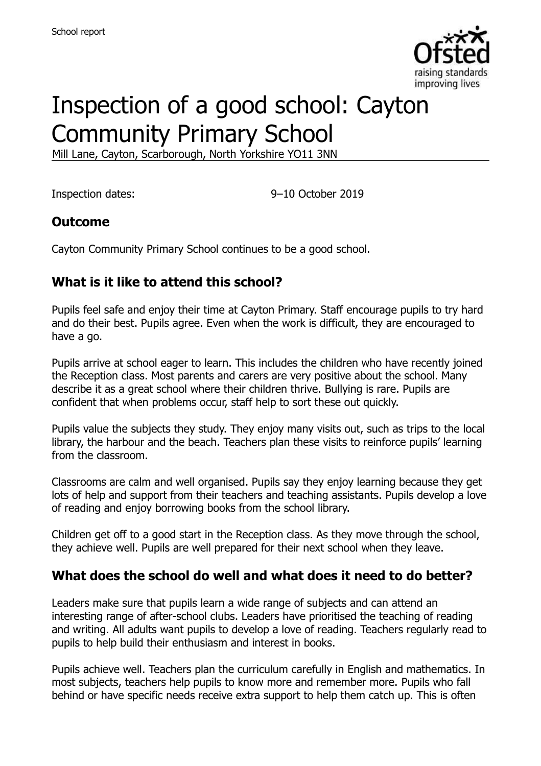

# Inspection of a good school: Cayton Community Primary School

Mill Lane, Cayton, Scarborough, North Yorkshire YO11 3NN

Inspection dates: 9–10 October 2019

## **Outcome**

Cayton Community Primary School continues to be a good school.

# **What is it like to attend this school?**

Pupils feel safe and enjoy their time at Cayton Primary. Staff encourage pupils to try hard and do their best. Pupils agree. Even when the work is difficult, they are encouraged to have a go.

Pupils arrive at school eager to learn. This includes the children who have recently joined the Reception class. Most parents and carers are very positive about the school. Many describe it as a great school where their children thrive. Bullying is rare. Pupils are confident that when problems occur, staff help to sort these out quickly.

Pupils value the subjects they study. They enjoy many visits out, such as trips to the local library, the harbour and the beach. Teachers plan these visits to reinforce pupils' learning from the classroom.

Classrooms are calm and well organised. Pupils say they enjoy learning because they get lots of help and support from their teachers and teaching assistants. Pupils develop a love of reading and enjoy borrowing books from the school library.

Children get off to a good start in the Reception class. As they move through the school, they achieve well. Pupils are well prepared for their next school when they leave.

## **What does the school do well and what does it need to do better?**

Leaders make sure that pupils learn a wide range of subjects and can attend an interesting range of after-school clubs. Leaders have prioritised the teaching of reading and writing. All adults want pupils to develop a love of reading. Teachers regularly read to pupils to help build their enthusiasm and interest in books.

Pupils achieve well. Teachers plan the curriculum carefully in English and mathematics. In most subjects, teachers help pupils to know more and remember more. Pupils who fall behind or have specific needs receive extra support to help them catch up. This is often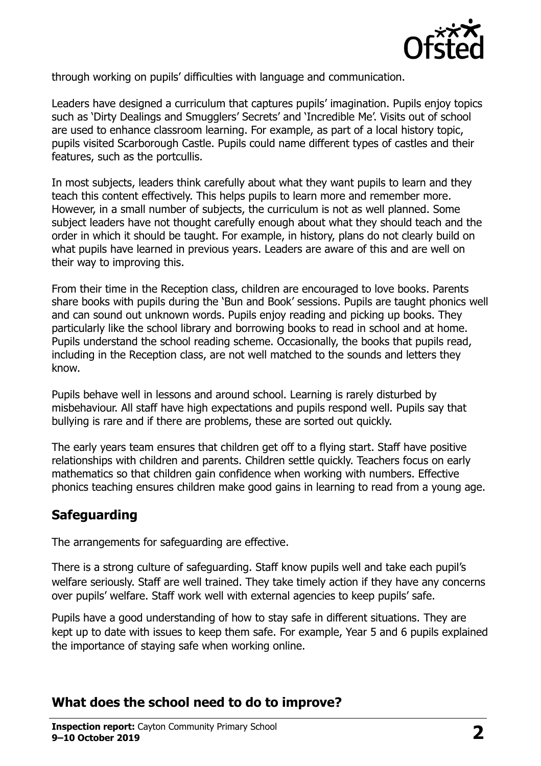

through working on pupils' difficulties with language and communication.

Leaders have designed a curriculum that captures pupils' imagination. Pupils enjoy topics such as 'Dirty Dealings and Smugglers' Secrets' and 'Incredible Me'. Visits out of school are used to enhance classroom learning. For example, as part of a local history topic, pupils visited Scarborough Castle. Pupils could name different types of castles and their features, such as the portcullis.

In most subjects, leaders think carefully about what they want pupils to learn and they teach this content effectively. This helps pupils to learn more and remember more. However, in a small number of subjects, the curriculum is not as well planned. Some subject leaders have not thought carefully enough about what they should teach and the order in which it should be taught. For example, in history, plans do not clearly build on what pupils have learned in previous years. Leaders are aware of this and are well on their way to improving this.

From their time in the Reception class, children are encouraged to love books. Parents share books with pupils during the 'Bun and Book' sessions. Pupils are taught phonics well and can sound out unknown words. Pupils enjoy reading and picking up books. They particularly like the school library and borrowing books to read in school and at home. Pupils understand the school reading scheme. Occasionally, the books that pupils read, including in the Reception class, are not well matched to the sounds and letters they know.

Pupils behave well in lessons and around school. Learning is rarely disturbed by misbehaviour. All staff have high expectations and pupils respond well. Pupils say that bullying is rare and if there are problems, these are sorted out quickly.

The early years team ensures that children get off to a flying start. Staff have positive relationships with children and parents. Children settle quickly. Teachers focus on early mathematics so that children gain confidence when working with numbers. Effective phonics teaching ensures children make good gains in learning to read from a young age.

## **Safeguarding**

The arrangements for safeguarding are effective.

There is a strong culture of safeguarding. Staff know pupils well and take each pupil's welfare seriously. Staff are well trained. They take timely action if they have any concerns over pupils' welfare. Staff work well with external agencies to keep pupils' safe.

Pupils have a good understanding of how to stay safe in different situations. They are kept up to date with issues to keep them safe. For example, Year 5 and 6 pupils explained the importance of staying safe when working online.

## **What does the school need to do to improve?**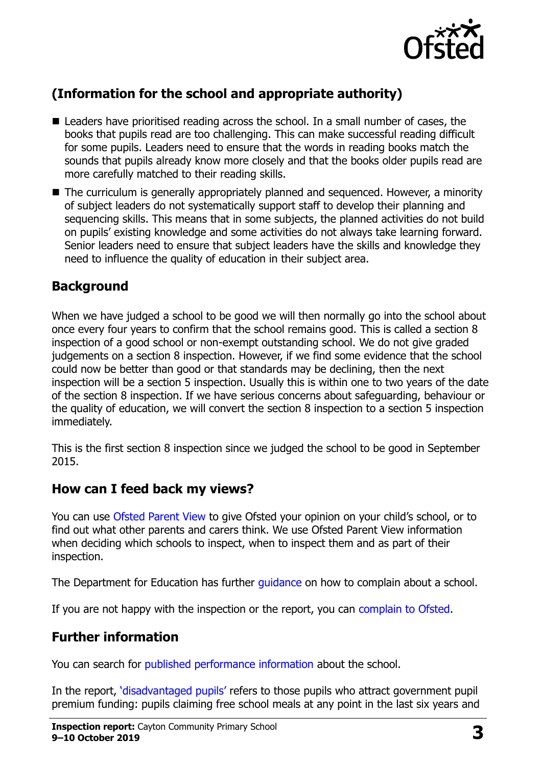

# **(Information for the school and appropriate authority)**

- Leaders have prioritised reading across the school. In a small number of cases, the books that pupils read are too challenging. This can make successful reading difficult for some pupils. Leaders need to ensure that the words in reading books match the sounds that pupils already know more closely and that the books older pupils read are more carefully matched to their reading skills.
- The curriculum is generally appropriately planned and sequenced. However, a minority of subject leaders do not systematically support staff to develop their planning and sequencing skills. This means that in some subjects, the planned activities do not build on pupils' existing knowledge and some activities do not always take learning forward. Senior leaders need to ensure that subject leaders have the skills and knowledge they need to influence the quality of education in their subject area.

# **Background**

When we have judged a school to be good we will then normally go into the school about once every four years to confirm that the school remains good. This is called a section 8 inspection of a good school or non-exempt outstanding school. We do not give graded judgements on a section 8 inspection. However, if we find some evidence that the school could now be better than good or that standards may be declining, then the next inspection will be a section 5 inspection. Usually this is within one to two years of the date of the section 8 inspection. If we have serious concerns about safeguarding, behaviour or the quality of education, we will convert the section 8 inspection to a section 5 inspection immediately.

This is the first section 8 inspection since we judged the school to be good in September 2015.

## **How can I feed back my views?**

You can use [Ofsted Parent View](https://parentview.ofsted.gov.uk/) to give Ofsted your opinion on your child's school, or to find out what other parents and carers think. We use Ofsted Parent View information when deciding which schools to inspect, when to inspect them and as part of their inspection.

The Department for Education has further quidance on how to complain about a school.

If you are not happy with the inspection or the report, you can [complain to Ofsted.](https://www.gov.uk/complain-ofsted-report)

# **Further information**

You can search for [published performance information](http://www.compare-school-performance.service.gov.uk/) about the school.

In the report, '[disadvantaged pupils](http://www.gov.uk/guidance/pupil-premium-information-for-schools-and-alternative-provision-settings)' refers to those pupils who attract government pupil premium funding: pupils claiming free school meals at any point in the last six years and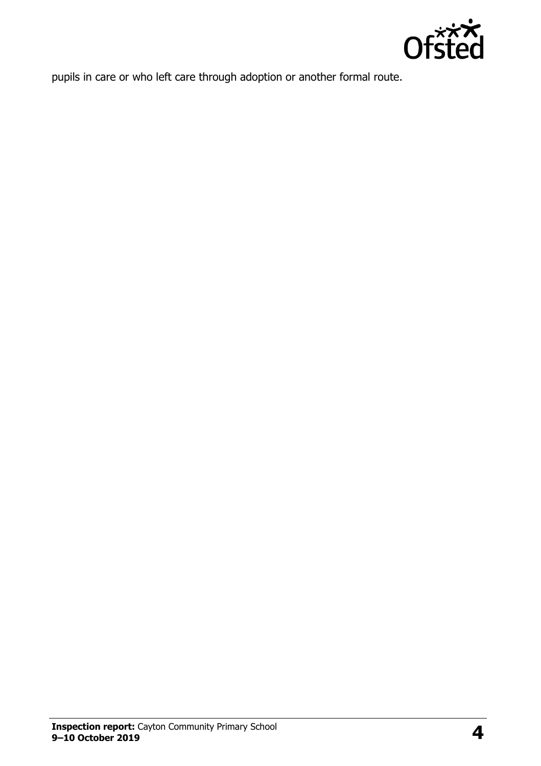

pupils in care or who left care through adoption or another formal route.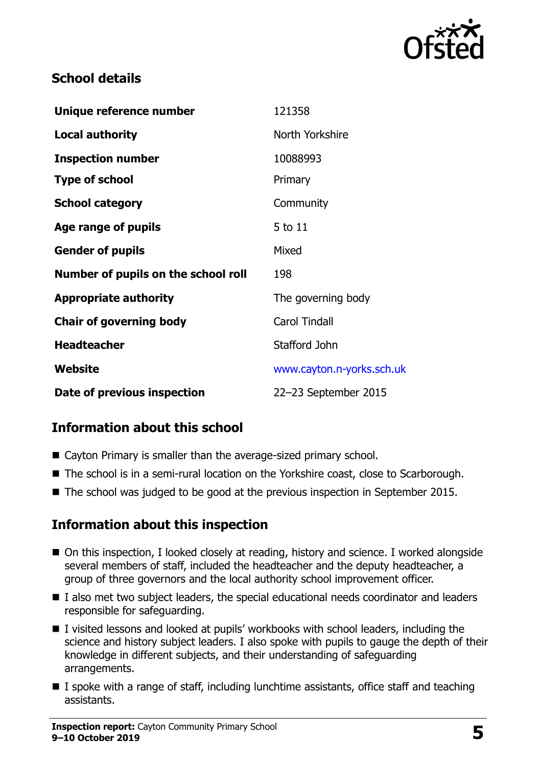

# **School details**

| Unique reference number             | 121358                    |
|-------------------------------------|---------------------------|
| <b>Local authority</b>              | North Yorkshire           |
| <b>Inspection number</b>            | 10088993                  |
| <b>Type of school</b>               | Primary                   |
| <b>School category</b>              | Community                 |
| Age range of pupils                 | 5 to 11                   |
| <b>Gender of pupils</b>             | Mixed                     |
| Number of pupils on the school roll | 198                       |
| <b>Appropriate authority</b>        | The governing body        |
| <b>Chair of governing body</b>      | <b>Carol Tindall</b>      |
| <b>Headteacher</b>                  | Stafford John             |
| Website                             | www.cayton.n-yorks.sch.uk |
| Date of previous inspection         | 22-23 September 2015      |

# **Information about this school**

- Cayton Primary is smaller than the average-sized primary school.
- The school is in a semi-rural location on the Yorkshire coast, close to Scarborough.
- The school was judged to be good at the previous inspection in September 2015.

## **Information about this inspection**

- On this inspection, I looked closely at reading, history and science. I worked alongside several members of staff, included the headteacher and the deputy headteacher, a group of three governors and the local authority school improvement officer.
- I also met two subject leaders, the special educational needs coordinator and leaders responsible for safeguarding.
- I visited lessons and looked at pupils' workbooks with school leaders, including the science and history subject leaders. I also spoke with pupils to gauge the depth of their knowledge in different subjects, and their understanding of safeguarding arrangements.
- I spoke with a range of staff, including lunchtime assistants, office staff and teaching assistants.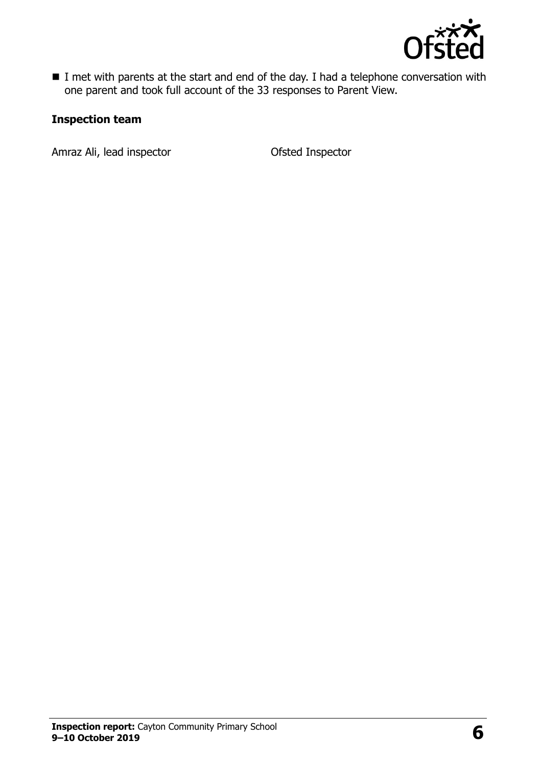

I met with parents at the start and end of the day. I had a telephone conversation with one parent and took full account of the 33 responses to Parent View.

#### **Inspection team**

Amraz Ali, lead inspector **Calcular Contract Amraz Ali, lead inspector**